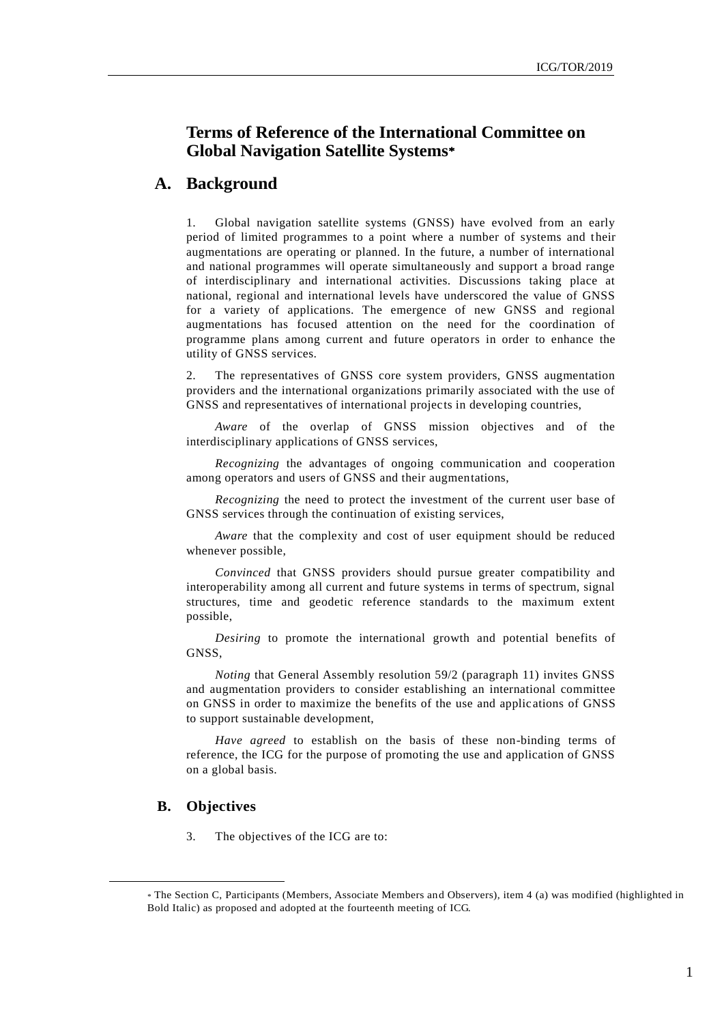# **Terms of Reference of the International Committee on Global Navigation Satellite Systems**

## **A. Background**

1. Global navigation satellite systems (GNSS) have evolved from an early period of limited programmes to a point where a number of systems and their augmentations are operating or planned. In the future, a number of international and national programmes will operate simultaneously and support a broad range of interdisciplinary and international activities. Discussions taking place at national, regional and international levels have underscored the value of GNSS for a variety of applications. The emergence of new GNSS and regional augmentations has focused attention on the need for the coordination of programme plans among current and future operators in order to enhance the utility of GNSS services.

2. The representatives of GNSS core system providers, GNSS augmentation providers and the international organizations primarily associated with the use of GNSS and representatives of international projects in developing countries,

*Aware* of the overlap of GNSS mission objectives and of the interdisciplinary applications of GNSS services,

*Recognizing* the advantages of ongoing communication and cooperation among operators and users of GNSS and their augmentations,

*Recognizing* the need to protect the investment of the current user base of GNSS services through the continuation of existing services,

*Aware* that the complexity and cost of user equipment should be reduced whenever possible,

*Convinced* that GNSS providers should pursue greater compatibility and interoperability among all current and future systems in terms of spectrum, signal structures, time and geodetic reference standards to the maximum extent possible,

*Desiring* to promote the international growth and potential benefits of GNSS,

*Noting* that General Assembly resolution 59/2 (paragraph 11) invites GNSS and augmentation providers to consider establishing an international committee on GNSS in order to maximize the benefits of the use and applic ations of GNSS to support sustainable development,

*Have agreed* to establish on the basis of these non-binding terms of reference, the ICG for the purpose of promoting the use and application of GNSS on a global basis.

### **B. Objectives**

 $\overline{a}$ 

3. The objectives of the ICG are to:

The Section C, Participants (Members, Associate Members and Observers), item 4 (a) was modified (highlighted in Bold Italic) as proposed and adopted at the fourteenth meeting of ICG.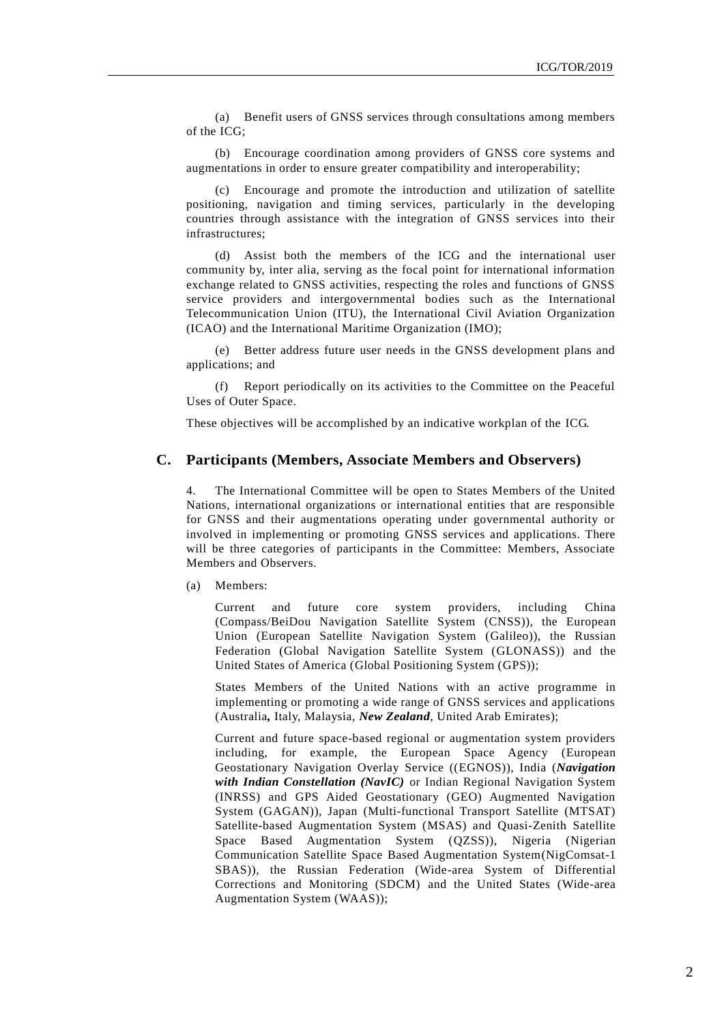(a) Benefit users of GNSS services through consultations among members of the ICG;

(b) Encourage coordination among providers of GNSS core systems and augmentations in order to ensure greater compatibility and interoperability;

(c) Encourage and promote the introduction and utilization of satellite positioning, navigation and timing services, particularly in the developing countries through assistance with the integration of GNSS services into their infrastructures;

(d) Assist both the members of the ICG and the international user community by, inter alia, serving as the focal point for international information exchange related to GNSS activities, respecting the roles and functions of GNSS service providers and intergovernmental bodies such as the International Telecommunication Union (ITU), the International Civil Aviation Organization (ICAO) and the International Maritime Organization (IMO);

(e) Better address future user needs in the GNSS development plans and applications; and

(f) Report periodically on its activities to the Committee on the Peaceful Uses of Outer Space.

These objectives will be accomplished by an indicative workplan of the ICG.

#### **C. Participants (Members, Associate Members and Observers)**

4. The International Committee will be open to States Members of the United Nations, international organizations or international entities that are responsible for GNSS and their augmentations operating under governmental authority or involved in implementing or promoting GNSS services and applications. There will be three categories of participants in the Committee: Members, Associate Members and Observers.

(a) Members:

Current and future core system providers, including China (Compass/BeiDou Navigation Satellite System (CNSS)), the European Union (European Satellite Navigation System (Galileo)), the Russian Federation (Global Navigation Satellite System (GLONASS)) and the United States of America (Global Positioning System (GPS));

States Members of the United Nations with an active programme in implementing or promoting a wide range of GNSS services and applications (Australia*,* Italy, Malaysia, *New Zealand*, United Arab Emirates);

Current and future space-based regional or augmentation system providers including, for example, the European Space Agency (European Geostationary Navigation Overlay Service ((EGNOS)), India (*Navigation with Indian Constellation (NavIC)* or Indian Regional Navigation System (INRSS) and GPS Aided Geostationary (GEO) Augmented Navigation System (GAGAN)), Japan (Multi-functional Transport Satellite (MTSAT) Satellite-based Augmentation System (MSAS) and Quasi-Zenith Satellite Space Based Augmentation System (QZSS)), Nigeria (Nigerian Communication Satellite Space Based Augmentation System(NigComsat-1 SBAS)), the Russian Federation (Wide-area System of Differential Corrections and Monitoring (SDCM) and the United States (Wide-area Augmentation System (WAAS));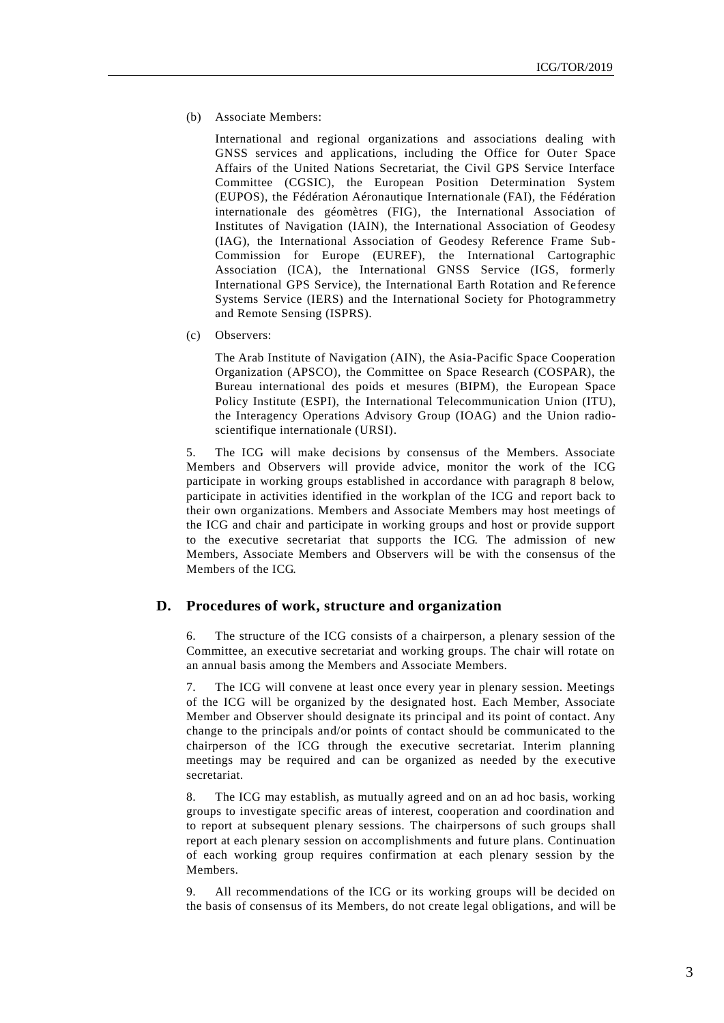(b) Associate Members:

International and regional organizations and associations dealing with GNSS services and applications, including the Office for Outer Space Affairs of the United Nations Secretariat, the Civil GPS Service Interface Committee (CGSIC), the European Position Determination System (EUPOS), the Fédération Aéronautique Internationale (FAI), the Fédération internationale des géomètres (FIG), the International Association of Institutes of Navigation (IAIN), the International Association of Geodesy (IAG), the International Association of Geodesy Reference Frame Sub-Commission for Europe (EUREF), the International Cartographic Association (ICA), the International GNSS Service (IGS, formerly International GPS Service), the International Earth Rotation and Re ference Systems Service (IERS) and the International Society for Photogrammetry and Remote Sensing (ISPRS).

(c) Observers:

The Arab Institute of Navigation (AIN), the Asia-Pacific Space Cooperation Organization (APSCO), the Committee on Space Research (COSPAR), the Bureau international des poids et mesures (BIPM), the European Space Policy Institute (ESPI), the International Telecommunication Union (ITU), the Interagency Operations Advisory Group (IOAG) and the Union radioscientifique internationale (URSI).

5. The ICG will make decisions by consensus of the Members. Associate Members and Observers will provide advice, monitor the work of the ICG participate in working groups established in accordance with paragraph 8 below, participate in activities identified in the workplan of the ICG and report back to their own organizations. Members and Associate Members may host meetings of the ICG and chair and participate in working groups and host or provide support to the executive secretariat that supports the ICG. The admission of new Members, Associate Members and Observers will be with the consensus of the Members of the ICG.

### **D. Procedures of work, structure and organization**

6. The structure of the ICG consists of a chairperson, a plenary session of the Committee, an executive secretariat and working groups. The chair will rotate on an annual basis among the Members and Associate Members.

7. The ICG will convene at least once every year in plenary session. Meetings of the ICG will be organized by the designated host. Each Member, Associate Member and Observer should designate its principal and its point of contact. Any change to the principals and/or points of contact should be communicated to the chairperson of the ICG through the executive secretariat. Interim planning meetings may be required and can be organized as needed by the executive secretariat.

8. The ICG may establish, as mutually agreed and on an ad hoc basis, working groups to investigate specific areas of interest, cooperation and coordination and to report at subsequent plenary sessions. The chairpersons of such groups shall report at each plenary session on accomplishments and future plans. Continuation of each working group requires confirmation at each plenary session by the Members.

9. All recommendations of the ICG or its working groups will be decided on the basis of consensus of its Members, do not create legal obligations, and will be